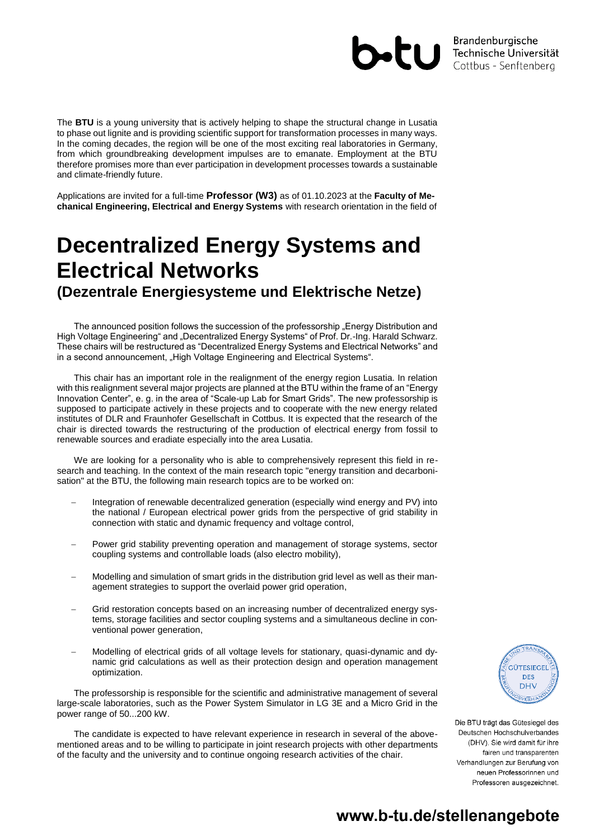

The **BTU** is a young university that is actively helping to shape the structural change in Lusatia to phase out lignite and is providing scientific support for transformation processes in many ways. In the coming decades, the region will be one of the most exciting real laboratories in Germany, from which groundbreaking development impulses are to emanate. Employment at the BTU therefore promises more than ever participation in development processes towards a sustainable and climate-friendly future.

Applications are invited for a full-time **Professor (W3)** as of 01.10.2023 at the **Faculty of Mechanical Engineering, Electrical and Energy Systems** with research orientation in the field of

# **Decentralized Energy Systems and Electrical Networks (Dezentrale Energiesysteme und Elektrische Netze)**

The announced position follows the succession of the professorship "Energy Distribution and High Voltage Engineering" and "Decentralized Energy Systems" of Prof. Dr.-Ing. Harald Schwarz. These chairs will be restructured as "Decentralized Energy Systems and Electrical Networks" and in a second announcement, "High Voltage Engineering and Electrical Systems".

This chair has an important role in the realignment of the energy region Lusatia. In relation with this realignment several major projects are planned at the BTU within the frame of an "Energy Innovation Center", e. g. in the area of "Scale-up Lab for Smart Grids". The new professorship is supposed to participate actively in these projects and to cooperate with the new energy related institutes of DLR and Fraunhofer Gesellschaft in Cottbus. It is expected that the research of the chair is directed towards the restructuring of the production of electrical energy from fossil to renewable sources and eradiate especially into the area Lusatia.

We are looking for a personality who is able to comprehensively represent this field in research and teaching. In the context of the main research topic "energy transition and decarbonisation" at the BTU, the following main research topics are to be worked on:

- Integration of renewable decentralized generation (especially wind energy and PV) into the national / European electrical power grids from the perspective of grid stability in connection with static and dynamic frequency and voltage control,
- Power grid stability preventing operation and management of storage systems, sector coupling systems and controllable loads (also electro mobility),
- Modelling and simulation of smart grids in the distribution grid level as well as their management strategies to support the overlaid power grid operation,
- Grid restoration concepts based on an increasing number of decentralized energy systems, storage facilities and sector coupling systems and a simultaneous decline in conventional power generation,
- Modelling of electrical grids of all voltage levels for stationary, quasi-dynamic and dynamic grid calculations as well as their protection design and operation management optimization.

The professorship is responsible for the scientific and administrative management of several large-scale laboratories, such as the Power System Simulator in LG 3E and a Micro Grid in the power range of 50...200 kW.

The candidate is expected to have relevant experience in research in several of the abovementioned areas and to be willing to participate in joint research projects with other departments of the faculty and the university and to continue ongoing research activities of the chair.



Die BTU trägt das Gütesiegel des Deutschen Hochschulverbandes (DHV). Sie wird damit für ihre fairen und transparenten Verhandlungen zur Berufung von neuen Professorinnen und Professoren ausgezeichnet.

## www.b-tu.de/stellenangebote